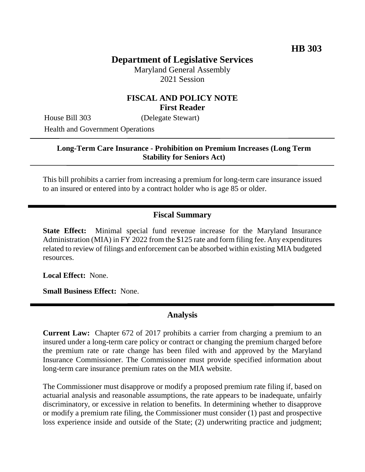# **Department of Legislative Services**

Maryland General Assembly 2021 Session

### **FISCAL AND POLICY NOTE First Reader**

House Bill 303 (Delegate Stewart) Health and Government Operations

#### **Long-Term Care Insurance - Prohibition on Premium Increases (Long Term Stability for Seniors Act)**

This bill prohibits a carrier from increasing a premium for long-term care insurance issued to an insured or entered into by a contract holder who is age 85 or older.

## **Fiscal Summary**

**State Effect:** Minimal special fund revenue increase for the Maryland Insurance Administration (MIA) in FY 2022 from the \$125 rate and form filing fee. Any expenditures related to review of filings and enforcement can be absorbed within existing MIA budgeted resources.

**Local Effect:** None.

**Small Business Effect:** None.

#### **Analysis**

**Current Law:** Chapter 672 of 2017 prohibits a carrier from charging a premium to an insured under a long-term care policy or contract or changing the premium charged before the premium rate or rate change has been filed with and approved by the Maryland Insurance Commissioner. The Commissioner must provide specified information about long-term care insurance premium rates on the MIA website.

The Commissioner must disapprove or modify a proposed premium rate filing if, based on actuarial analysis and reasonable assumptions, the rate appears to be inadequate, unfairly discriminatory, or excessive in relation to benefits. In determining whether to disapprove or modify a premium rate filing, the Commissioner must consider (1) past and prospective loss experience inside and outside of the State; (2) underwriting practice and judgment;